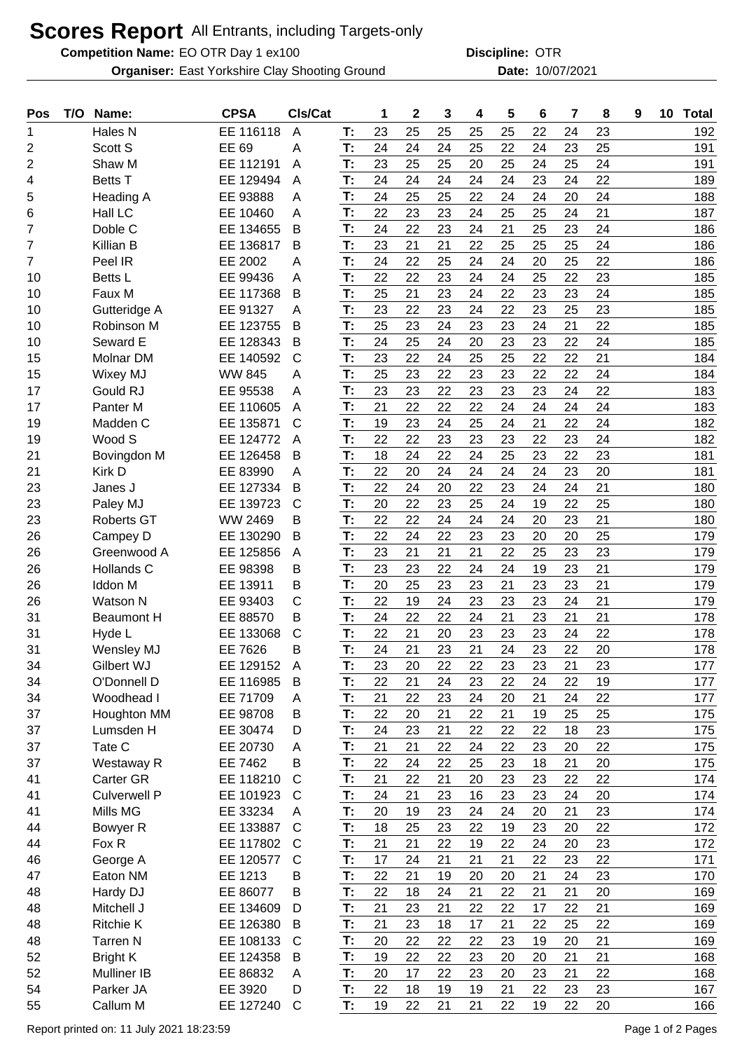## **Scores Report** All Entrants, including Targets-only

**Competition Name:** EO OTR Day 1 ex100 **Competition Name: OTR** 

East Yorkshire Clay Shooting Ground 10/07/2021 **Organiser: Date:**

**Discipline:**

| Pos            | T/O | Name:               | <b>CPSA</b>   | CIs/Cat        |    | 1  | $\mathbf{2}$ | 3  | 4  | 5  | 6  | 7  | 8  | 9 | 10 | <b>Total</b> |
|----------------|-----|---------------------|---------------|----------------|----|----|--------------|----|----|----|----|----|----|---|----|--------------|
| 1              |     | Hales N             | EE 116118     | $\overline{A}$ | T: | 23 | 25           | 25 | 25 | 25 | 22 | 24 | 23 |   |    | 192          |
| 2              |     | Scott S             | EE 69         | A              | T: | 24 | 24           | 24 | 25 | 22 | 24 | 23 | 25 |   |    | 191          |
| 2              |     | Shaw M              | EE 112191     | A              | T: | 23 | 25           | 25 | 20 | 25 | 24 | 25 | 24 |   |    | 191          |
| 4              |     | <b>Betts T</b>      | EE 129494     | A              | T: | 24 | 24           | 24 | 24 | 24 | 23 | 24 | 22 |   |    | 189          |
| 5              |     | Heading A           | EE 93888      | Α              | T: | 24 | 25           | 25 | 22 | 24 | 24 | 20 | 24 |   |    | 188          |
| 6              |     | Hall LC             | EE 10460      | A              | T: | 22 | 23           | 23 | 24 | 25 | 25 | 24 | 21 |   |    | 187          |
| 7              |     | Doble C             | EE 134655     | B              | T: | 24 | 22           | 23 | 24 | 21 | 25 | 23 | 24 |   |    | 186          |
| 7              |     | Killian B           | EE 136817     | B              | T: | 23 | 21           | 21 | 22 | 25 | 25 | 25 | 24 |   |    | 186          |
| $\overline{7}$ |     | Peel IR             | EE 2002       | Α              | T: | 24 | 22           | 25 | 24 | 24 | 20 | 25 | 22 |   |    | 186          |
| 10             |     | <b>Betts L</b>      | EE 99436      | A              | T: | 22 | 22           | 23 | 24 | 24 | 25 | 22 | 23 |   |    | 185          |
| 10             |     | Faux M              | EE 117368     | B              | T: | 25 | 21           | 23 | 24 | 22 | 23 | 23 | 24 |   |    | 185          |
| 10             |     | Gutteridge A        | EE 91327      | Α              | T: | 23 | 22           | 23 | 24 | 22 | 23 | 25 | 23 |   |    | 185          |
| 10             |     | Robinson M          | EE 123755     | B              | T: | 25 | 23           | 24 | 23 | 23 | 24 | 21 | 22 |   |    | 185          |
| 10             |     | Seward E            | EE 128343     | B              | T: | 24 | 25           | 24 | 20 | 23 | 23 | 22 | 24 |   |    | 185          |
| 15             |     | Molnar DM           | EE 140592     | $\mathsf{C}$   | T: | 23 | 22           | 24 | 25 | 25 | 22 | 22 | 21 |   |    | 184          |
| 15             |     | <b>Wixey MJ</b>     | <b>WW 845</b> | A              | T: | 25 | 23           | 22 | 23 | 23 | 22 | 22 | 24 |   |    | 184          |
| 17             |     | Gould RJ            | EE 95538      | A              | T: | 23 | 23           | 22 | 23 | 23 | 23 | 24 | 22 |   |    | 183          |
| 17             |     | Panter <sub>M</sub> | EE 110605     | A              | T: | 21 | 22           | 22 | 22 | 24 | 24 | 24 | 24 |   |    | 183          |
| 19             |     | Madden C            | EE 135871     | C              | T: | 19 | 23           | 24 | 25 | 24 | 21 | 22 | 24 |   |    | 182          |
| 19             |     | Wood S              | EE 124772     | A              | T: | 22 | 22           | 23 | 23 | 23 | 22 | 23 | 24 |   |    | 182          |
| 21             |     | Bovingdon M         | EE 126458     | B              | T: | 18 | 24           | 22 | 24 | 25 | 23 | 22 | 23 |   |    | 181          |
| 21             |     | Kirk D              | EE 83990      | A              | T: | 22 | 20           | 24 | 24 | 24 | 24 | 23 | 20 |   |    | 181          |
| 23             |     | Janes J             | EE 127334     | B              | T: | 22 | 24           | 20 | 22 | 23 | 24 | 24 | 21 |   |    | 180          |
| 23             |     | Paley MJ            | EE 139723     | $\mathsf{C}$   | T: | 20 | 22           | 23 | 25 | 24 | 19 | 22 | 25 |   |    | 180          |
| 23             |     | <b>Roberts GT</b>   | WW 2469       | В              | T: | 22 | 22           | 24 | 24 | 24 | 20 | 23 | 21 |   |    | 180          |
| 26             |     | Campey D            | EE 130290     | B              | T: | 22 | 24           | 22 | 23 | 23 | 20 | 20 | 25 |   |    | 179          |
| 26             |     | Greenwood A         | EE 125856     | A              | T: | 23 | 21           | 21 | 21 | 22 | 25 | 23 | 23 |   |    | 179          |
| 26             |     | Hollands C          | EE 98398      | B              | T: | 23 | 23           | 22 | 24 | 24 | 19 | 23 | 21 |   |    | 179          |
| 26             |     | <b>Iddon M</b>      | EE 13911      | В              | T: | 20 | 25           | 23 | 23 | 21 | 23 | 23 | 21 |   |    | 179          |
| 26             |     | <b>Watson N</b>     | EE 93403      | C              | T: | 22 | 19           | 24 | 23 | 23 | 23 | 24 | 21 |   |    | 179          |
| 31             |     | <b>Beaumont H</b>   | EE 88570      | B              | T: | 24 | 22           | 22 | 24 | 21 | 23 | 21 | 21 |   |    | 178          |
| 31             |     | Hyde L              | EE 133068     | $\mathsf{C}$   | T: | 22 | 21           | 20 | 23 | 23 | 23 | 24 | 22 |   |    | 178          |
| 31             |     | Wensley MJ          | EE 7626       | B              | T: | 24 | 21           | 23 | 21 | 24 | 23 | 22 | 20 |   |    | 178          |
| 34             |     | <b>Gilbert WJ</b>   | EE 129152     | A              | Т: | 23 | 20           | 22 | 22 | 23 | 23 | 21 | 23 |   |    | 177          |
| 34             |     | O'Donnell D         | EE 116985     | B              | T: | 22 | 21           | 24 | 23 | 22 | 24 | 22 | 19 |   |    | 177          |
| 34             |     | Woodhead I          | EE 71709      | A              | T. | 21 | 22           | 23 | 24 | 20 | 21 | 24 | 22 |   |    | 177          |
| 37             |     | Houghton MM         | EE 98708      | B              | T: | 22 | 20           | 21 | 22 | 21 | 19 | 25 | 25 |   |    | 175          |
| 37             |     | Lumsden H           | EE 30474      | D              | T: | 24 | 23           | 21 | 22 | 22 | 22 | 18 | 23 |   |    | 175          |
| 37             |     | Tate C              | EE 20730      | A              | T: | 21 | 21           | 22 | 24 | 22 | 23 | 20 | 22 |   |    | 175          |
| 37             |     | Westaway R          | EE 7462       | B              | T: | 22 | 24           | 22 | 25 | 23 | 18 | 21 | 20 |   |    | 175          |
| 41             |     | Carter GR           | EE 118210     | $\mathsf{C}$   | T: | 21 | 22           | 21 | 20 | 23 | 23 | 22 | 22 |   |    | 174          |
| 41             |     | <b>Culverwell P</b> | EE 101923     | C              | T: | 24 | 21           | 23 | 16 | 23 | 23 | 24 | 20 |   |    | 174          |
| 41             |     | Mills MG            | EE 33234      | A              | T: | 20 | 19           | 23 | 24 | 24 | 20 | 21 | 23 |   |    | 174          |
| 44             |     | Bowyer R            | EE 133887     | $\mathsf{C}$   | T: | 18 | 25           | 23 | 22 | 19 | 23 | 20 | 22 |   |    | 172          |
| 44             |     | Fox R               | EE 117802     | C              | T: | 21 | 21           | 22 | 19 | 22 | 24 | 20 | 23 |   |    | 172          |
| 46             |     | George A            | EE 120577     | C              | T. | 17 | 24           | 21 | 21 | 21 | 22 | 23 | 22 |   |    | 171          |
| 47             |     | Eaton NM            | EE 1213       | B              | T: | 22 | 21           | 19 | 20 | 20 | 21 | 24 | 23 |   |    | 170          |
| 48             |     | Hardy DJ            | EE 86077      | B              | T: | 22 | 18           | 24 | 21 | 22 | 21 | 21 | 20 |   |    | 169          |
| 48             |     | Mitchell J          | EE 134609     | D              | T: | 21 | 23           | 21 | 22 | 22 | 17 | 22 | 21 |   |    | 169          |
| 48             |     | <b>Ritchie K</b>    | EE 126380     | B              | T: | 21 | 23           | 18 | 17 | 21 | 22 | 25 | 22 |   |    | 169          |
| 48             |     | <b>Tarren N</b>     | EE 108133     | $\mathsf{C}$   | T: | 20 | 22           | 22 | 22 | 23 | 19 | 20 | 21 |   |    | 169          |
| 52             |     | <b>Bright K</b>     | EE 124358     | B              | T: | 19 | 22           | 22 | 23 | 20 | 20 | 21 | 21 |   |    | 168          |
| 52             |     | <b>Mulliner IB</b>  | EE 86832      | A              | T: | 20 | 17           | 22 | 23 | 20 | 23 | 21 | 22 |   |    | 168          |
| 54             |     | Parker JA           | EE 3920       | D              | T: | 22 | 18           | 19 | 19 | 21 | 22 | 23 | 23 |   |    | 167          |
| 55             |     | Callum M            | EE 127240     | $\mathsf{C}$   | T: | 19 | 22           | 21 | 21 | 22 | 19 | 22 | 20 |   |    | 166          |

Report printed on: 11 July 2021 18:23:59 Page 1 of 2 Pages